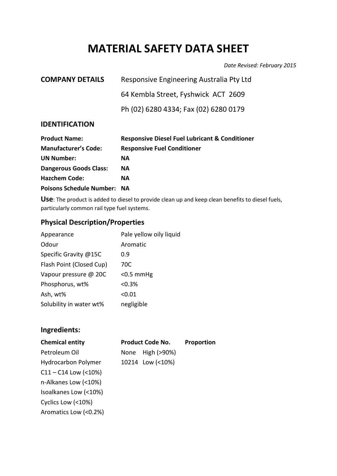# **MATERIAL SAFETY DATA SHEET**

*Date Revised: February 2015*

| <b>COMPANY DETAILS</b> | Responsive Engineering Australia Pty Ltd |
|------------------------|------------------------------------------|
|                        | 64 Kembla Street, Fyshwick ACT 2609      |
|                        | Ph (02) 6280 4334; Fax (02) 6280 0179    |
|                        |                                          |

## **IDENTIFICATION**

| <b>Product Name:</b>               | <b>Responsive Diesel Fuel Lubricant &amp; Conditioner</b> |
|------------------------------------|-----------------------------------------------------------|
| <b>Manufacturer's Code:</b>        | <b>Responsive Fuel Conditioner</b>                        |
| <b>UN Number:</b>                  | <b>NA</b>                                                 |
| <b>Dangerous Goods Class:</b>      | <b>NA</b>                                                 |
| <b>Hazchem Code:</b>               | NА                                                        |
| <b>Poisons Schedule Number: NA</b> |                                                           |

**Use**: The product is added to diesel to provide clean up and keep clean benefits to diesel fuels, particularly common rail type fuel systems.

## **Physical Description/Properties**

| Appearance               | Pale yellow oily liquid |
|--------------------------|-------------------------|
| Odour                    | Aromatic                |
| Specific Gravity @15C    | 0.9                     |
| Flash Point (Closed Cup) | 70C                     |
| Vapour pressure @ 20C    | $< 0.5$ mmHg            |
| Phosphorus, wt%          | $< 0.3\%$               |
| Ash, wt%                 | < 0.01                  |
| Solubility in water wt%  | negligible              |

## **Ingredients:**

| <b>Chemical entity</b>           | <b>Product Code No.</b> | Proportion |
|----------------------------------|-------------------------|------------|
| Petroleum Oil                    | None High (>90%)        |            |
| <b>Hydrocarbon Polymer</b>       | 10214 Low (<10%)        |            |
| $C11 - C14$ Low (<10%)           |                         |            |
| n-Alkanes Low (<10%)             |                         |            |
| Isoalkanes Low (<10%)            |                         |            |
| $C_{\text{valice}}$ Leur (2100/) |                         |            |

Cyclics Low (<10%) Aromatics Low (<0.2%)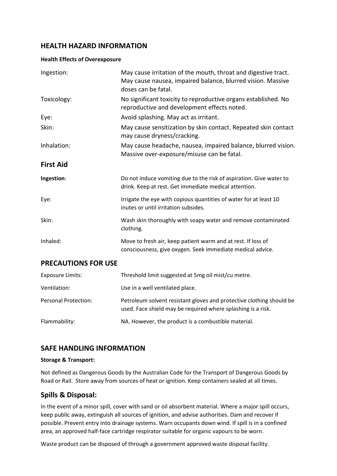## **HEALTH HAZARD INFORMATION**

#### **Health Effects of Overexposure**

| Ingestion:                  | May cause irritation of the mouth, throat and digestive tract.<br>May cause nausea, impaired balance, blurred vision. Massive<br>doses can be fatal. |
|-----------------------------|------------------------------------------------------------------------------------------------------------------------------------------------------|
| Toxicology:                 | No significant toxicity to reproductive organs established. No<br>reproductive and development effects noted.                                        |
| Eye:                        | Avoid splashing. May act as irritant.                                                                                                                |
| Skin:                       | May cause sensitization by skin contact. Repeated skin contact<br>may cause dryness/cracking.                                                        |
| Inhalation:                 | May cause headache, nausea, impaired balance, blurred vision.<br>Massive over-exposure/misuse can be fatal.                                          |
| <b>First Aid</b>            |                                                                                                                                                      |
| Ingestion:                  | Do not induce vomiting due to the risk of aspiration. Give water to<br>drink. Keep at rest. Get immediate medical attention.                         |
| Eye:                        | Irrigate the eye with copious quantities of water for at least 10<br>inutes or until irritation subsides.                                            |
| Skin:                       | Wash skin thoroughly with soapy water and remove contaminated<br>clothing.                                                                           |
| Inhaled:                    | Move to fresh air, keep patient warm and at rest. If loss of<br>consciousness, give oxygen. Seek immediate medical advice.                           |
| <b>PRECAUTIONS FOR USE</b>  |                                                                                                                                                      |
| <b>Exposure Limits:</b>     | Threshold limit suggested at 5mg oil mist/cu metre.                                                                                                  |
| Ventilation:                | Use in a well ventilated place.                                                                                                                      |
| <b>Personal Protection:</b> | Petroleum solvent resistant gloves and protective clothing should be<br>used. Face shield may be required where splashing is a risk.                 |
| Flammability:               | NA. However, the product is a combustible material.                                                                                                  |

## **SAFE HANDLING INFORMATION**

#### **Storage & Transport:**

Not defined as Dangerous Goods by the Australian Code for the Transport of Dangerous Goods by Road or Rail. Store away from sources of heat or ignition. Keep containers sealed at all times.

## **Spills & Disposal:**

In the event of a minor spill, cover with sand or oil absorbent material. Where a major spill occurs, keep public away, extinguish all sources of ignition, and advise authorities. Dam and recover if possible. Prevent entry into drainage systems. Warn occupants down wind. If spill is in a confined area, an approved half-face cartridge respirator suitable for organic vapours to be worn.

Waste product can be disposed of through a government approved waste disposal facility.